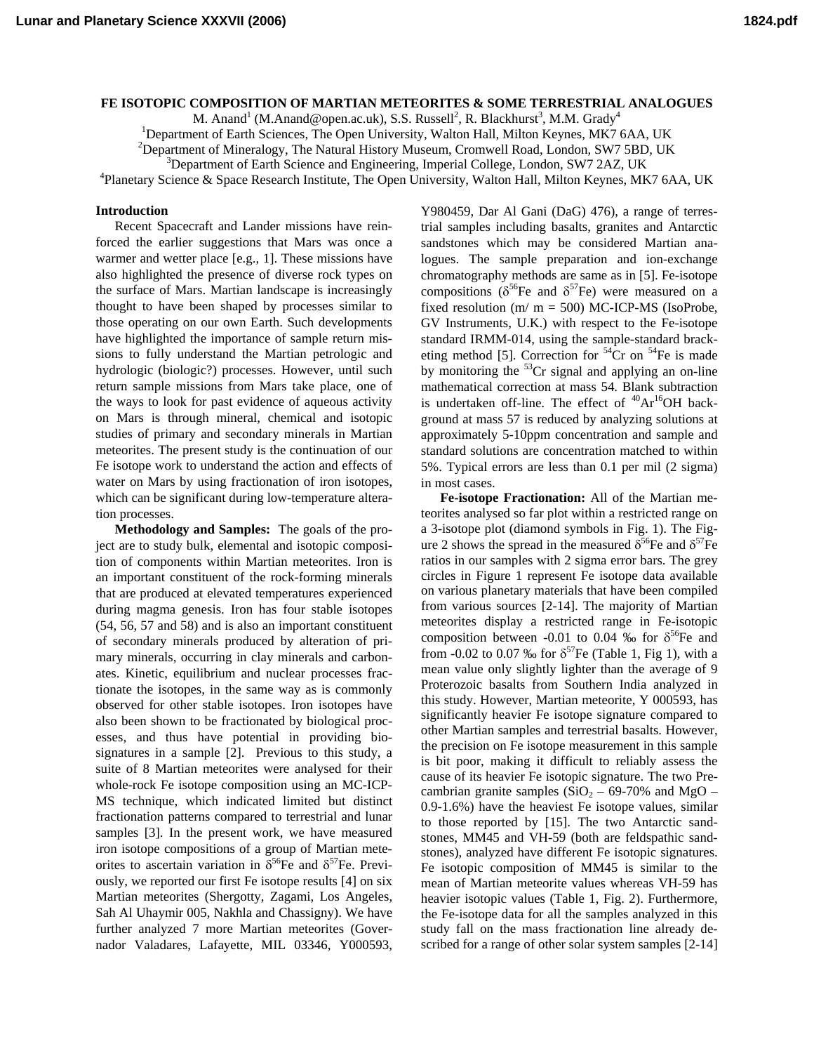## **FE ISOTOPIC COMPOSITION OF MARTIAN METEORITES & SOME TERRESTRIAL ANALOGUES**

M. Anand<sup>1</sup> (M.Anand@open.ac.uk), S.S. Russell<sup>2</sup>, R. Blackhurst<sup>3</sup>, M.M. Grady<sup>4</sup>

<sup>1</sup>Department of Earth Sciences, The Open University, Walton Hall, Milton Keynes, MK7 6AA, UK

 ${}^{2}$ Department of Mineralogy, The Natural History Museum, Cromwell Road, London, SW7 5BD, UK  ${}^{3}$ Department of Earth Seignee and Engineering, Imperial College, London, SW7 2A7, UK

<sup>3</sup>Department of Earth Science and Engineering, Imperial College, London, SW7 2AZ, UK

Planetary Science & Space Research Institute, The Open University, Walton Hall, Milton Keynes, MK7 6AA, UK

## **Introduction**

Recent Spacecraft and Lander missions have reinforced the earlier suggestions that Mars was once a warmer and wetter place [e.g., 1]. These missions have also highlighted the presence of diverse rock types on the surface of Mars. Martian landscape is increasingly thought to have been shaped by processes similar to those operating on our own Earth. Such developments have highlighted the importance of sample return missions to fully understand the Martian petrologic and hydrologic (biologic?) processes. However, until such return sample missions from Mars take place, one of the ways to look for past evidence of aqueous activity on Mars is through mineral, chemical and isotopic studies of primary and secondary minerals in Martian meteorites. The present study is the continuation of our Fe isotope work to understand the action and effects of water on Mars by using fractionation of iron isotopes, which can be significant during low-temperature alteration processes.

**Methodology and Samples:** The goals of the project are to study bulk, elemental and isotopic composition of components within Martian meteorites. Iron is an important constituent of the rock-forming minerals that are produced at elevated temperatures experienced during magma genesis. Iron has four stable isotopes (54, 56, 57 and 58) and is also an important constituent of secondary minerals produced by alteration of primary minerals, occurring in clay minerals and carbonates. Kinetic, equilibrium and nuclear processes fractionate the isotopes, in the same way as is commonly observed for other stable isotopes. Iron isotopes have also been shown to be fractionated by biological processes, and thus have potential in providing biosignatures in a sample [2]. Previous to this study, a suite of 8 Martian meteorites were analysed for their whole-rock Fe isotope composition using an MC-ICP-MS technique, which indicated limited but distinct fractionation patterns compared to terrestrial and lunar samples [3]. In the present work, we have measured iron isotope compositions of a group of Martian meteorites to ascertain variation in  $\delta^{56}$ Fe and  $\delta^{57}$ Fe. Previously, we reported our first Fe isotope results [4] on six Martian meteorites (Shergotty, Zagami, Los Angeles, Sah Al Uhaymir 005, Nakhla and Chassigny). We have further analyzed 7 more Martian meteorites (Governador Valadares, Lafayette, MIL 03346, Y000593,

Y980459, Dar Al Gani (DaG) 476), a range of terrestrial samples including basalts, granites and Antarctic sandstones which may be considered Martian analogues. The sample preparation and ion-exchange chromatography methods are same as in [5]. Fe-isotope compositions ( $\delta^{56}$ Fe and  $\delta^{57}$ Fe) were measured on a fixed resolution (m/ m = 500) MC-ICP-MS (IsoProbe, GV Instruments, U.K.) with respect to the Fe-isotope standard IRMM-014, using the sample-standard bracketing method [5]. Correction for  $54$ Cr on  $54$ Fe is made by monitoring the  ${}^{53}Cr$  signal and applying an on-line mathematical correction at mass 54. Blank subtraction is undertaken off-line. The effect of  $^{40}Ar^{16}OH$  background at mass 57 is reduced by analyzing solutions at approximately 5-10ppm concentration and sample and standard solutions are concentration matched to within 5%. Typical errors are less than 0.1 per mil (2 sigma) in most cases.

**Fe-isotope Fractionation:** All of the Martian meteorites analysed so far plot within a restricted range on a 3-isotope plot (diamond symbols in Fig. 1). The Figure 2 shows the spread in the measured  $\delta^{56}$ Fe and  $\delta^{57}$ Fe ratios in our samples with 2 sigma error bars. The grey circles in Figure 1 represent Fe isotope data available on various planetary materials that have been compiled from various sources [2-14]. The majority of Martian meteorites display a restricted range in Fe-isotopic composition between -0.01 to 0.04 ‰ for  $\delta^{56}$ Fe and from -0.02 to 0.07 ‰ for  $\delta^{57}$ Fe (Table 1, Fig 1), with a mean value only slightly lighter than the average of 9 Proterozoic basalts from Southern India analyzed in this study. However, Martian meteorite, Y 000593, has significantly heavier Fe isotope signature compared to other Martian samples and terrestrial basalts. However, the precision on Fe isotope measurement in this sample is bit poor, making it difficult to reliably assess the cause of its heavier Fe isotopic signature. The two Precambrian granite samples  $(SiO<sub>2</sub> - 69-70\%$  and MgO – 0.9-1.6%) have the heaviest Fe isotope values, similar to those reported by [15]. The two Antarctic sandstones, MM45 and VH-59 (both are feldspathic sandstones), analyzed have different Fe isotopic signatures. Fe isotopic composition of MM45 is similar to the mean of Martian meteorite values whereas VH-59 has heavier isotopic values (Table 1, Fig. 2). Furthermore, the Fe-isotope data for all the samples analyzed in this study fall on the mass fractionation line already described for a range of other solar system samples [2-14]